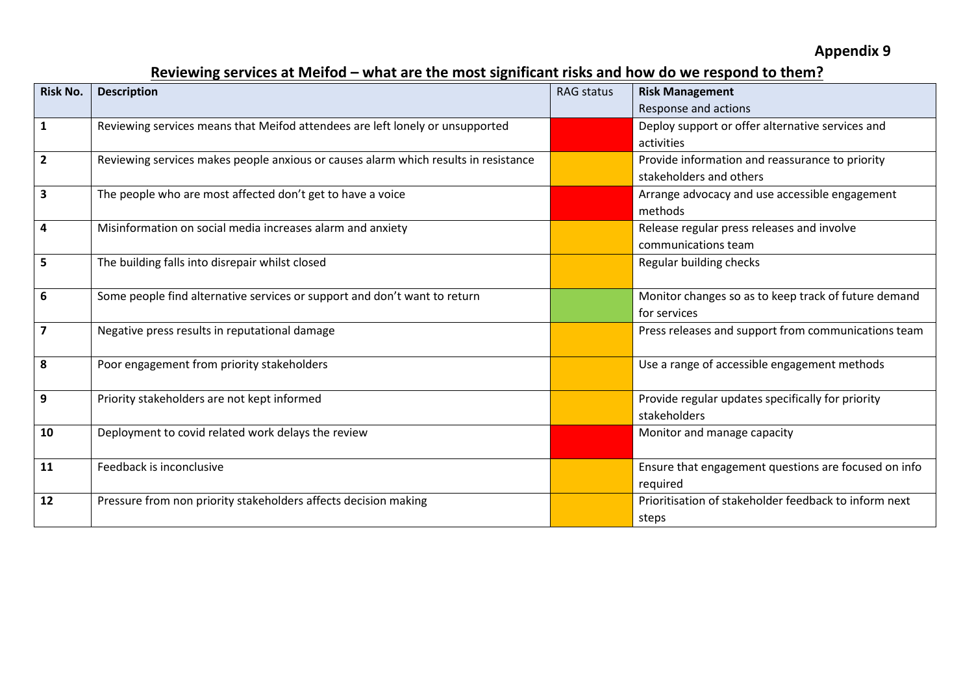## **Reviewing services at Meifod – what are the most significant risks and how do we respond to them?**

| <b>Risk No.</b>         | <b>Description</b>                                                                  | <b>RAG status</b> | <b>Risk Management</b>                                |
|-------------------------|-------------------------------------------------------------------------------------|-------------------|-------------------------------------------------------|
|                         |                                                                                     |                   | Response and actions                                  |
| $\mathbf{1}$            | Reviewing services means that Meifod attendees are left lonely or unsupported       |                   | Deploy support or offer alternative services and      |
|                         |                                                                                     |                   | activities                                            |
| $\overline{2}$          | Reviewing services makes people anxious or causes alarm which results in resistance |                   | Provide information and reassurance to priority       |
|                         |                                                                                     |                   | stakeholders and others                               |
| $\overline{\mathbf{3}}$ | The people who are most affected don't get to have a voice                          |                   | Arrange advocacy and use accessible engagement        |
|                         |                                                                                     |                   | methods                                               |
| 4                       | Misinformation on social media increases alarm and anxiety                          |                   | Release regular press releases and involve            |
|                         |                                                                                     |                   | communications team                                   |
| 5                       | The building falls into disrepair whilst closed                                     |                   | Regular building checks                               |
|                         |                                                                                     |                   |                                                       |
| 6                       | Some people find alternative services or support and don't want to return           |                   | Monitor changes so as to keep track of future demand  |
|                         |                                                                                     |                   | for services                                          |
| $\overline{7}$          | Negative press results in reputational damage                                       |                   | Press releases and support from communications team   |
|                         |                                                                                     |                   |                                                       |
| 8                       | Poor engagement from priority stakeholders                                          |                   | Use a range of accessible engagement methods          |
|                         |                                                                                     |                   |                                                       |
| 9                       | Priority stakeholders are not kept informed                                         |                   | Provide regular updates specifically for priority     |
|                         |                                                                                     |                   | stakeholders                                          |
| 10                      | Deployment to covid related work delays the review                                  |                   | Monitor and manage capacity                           |
|                         |                                                                                     |                   |                                                       |
| 11                      | Feedback is inconclusive                                                            |                   | Ensure that engagement questions are focused on info  |
|                         |                                                                                     |                   | required                                              |
| 12                      | Pressure from non priority stakeholders affects decision making                     |                   | Prioritisation of stakeholder feedback to inform next |
|                         |                                                                                     |                   | steps                                                 |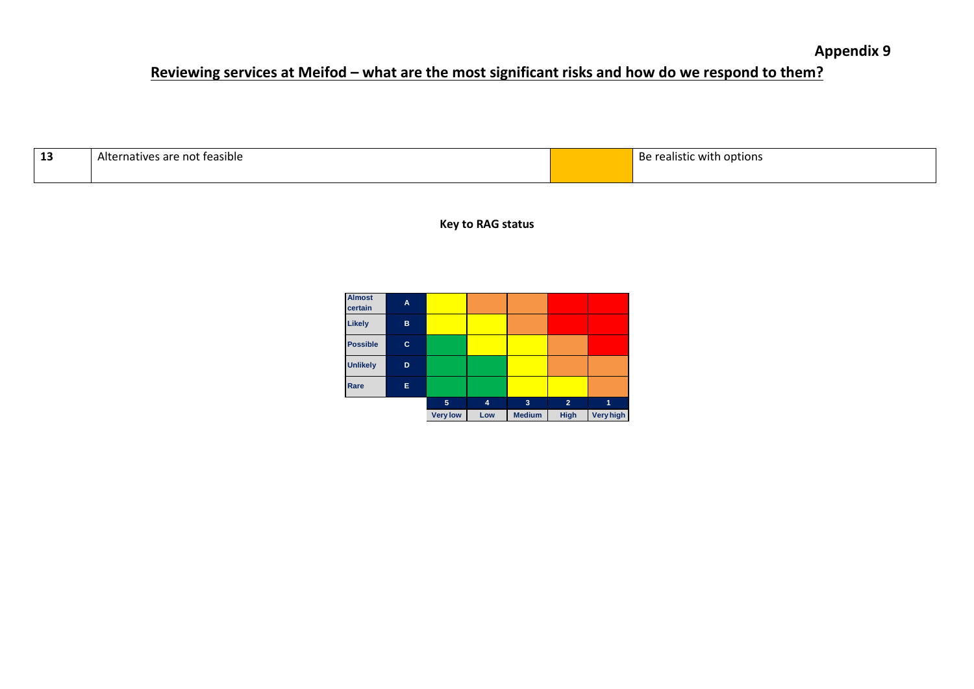## **Reviewing services at Meifod – what are the most significant risks and how do we respond to them?**

| ∸ | . .<br>- Alte<br>. feasible i<br>are<br>`no.<br>THURS | Be<br>i options<br>with<br>санэск |
|---|-------------------------------------------------------|-----------------------------------|
|   |                                                       |                                   |

**Key to RAG status**

| <b>Almost</b><br>certain | A |                 |     |               |                |           |
|--------------------------|---|-----------------|-----|---------------|----------------|-----------|
| Likely                   | в |                 |     |               |                |           |
| <b>Possible</b>          | c |                 |     |               |                |           |
| <b>Unlikely</b>          | D |                 |     |               |                |           |
| Rare                     | Е |                 |     |               |                |           |
|                          |   | 5               | 4   | 3             | $\overline{2}$ | 1         |
|                          |   | <b>Very low</b> | Low | <b>Medium</b> | <b>High</b>    | Very high |